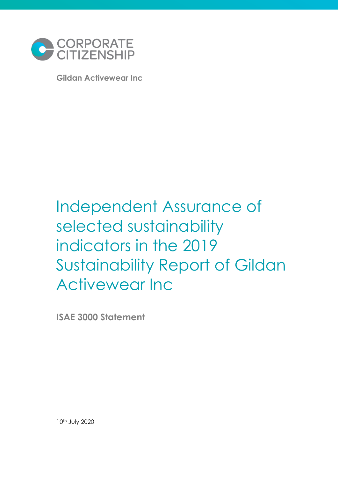

**Gildan Activewear Inc**

# Independent Assurance of selected sustainability indicators in the 2019 Sustainability Report of Gildan Activewear Inc

**ISAE 3000 Statement** 

10th July 2020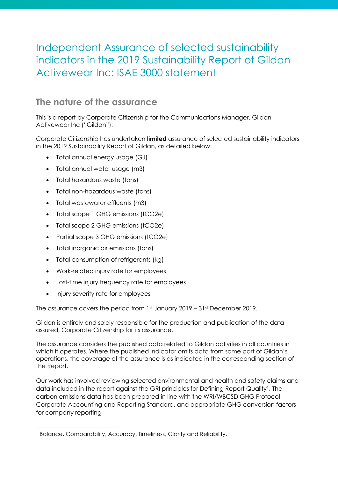# Independent Assurance of selected sustainability indicators in the 2019 Sustainability Report of Gildan Activewear Inc: ISAE 3000 statement

# **The nature of the assurance**

This is a report by Corporate Citizenship for the Communications Manager, Gildan Activewear Inc ("Gildan").

Corporate Citizenship has undertaken **limited** assurance of selected sustainability indicators in the 2019 Sustainability Report of Gildan, as detailed below:

- Total annual energy usage (GJ)
- Total annual water usage (m3)
- Total hazardous waste (tons)
- Total non-hazardous waste (tons)
- Total wastewater effluents (m3)
- Total scope 1 GHG emissions (tCO2e)
- Total scope 2 GHG emissions (tCO2e)
- Partial scope 3 GHG emissions (tCO2e)
- Total inorganic air emissions (tons)
- Total consumption of refrigerants (kg)
- Work-related injury rate for employees
- Lost-time injury frequency rate for employees
- Injury severity rate for employees

The assurance covers the period from  $1st$  January 2019 – 31st December 2019.

Gildan is entirely and solely responsible for the production and publication of the data assured, Corporate Citizenship for its assurance.

The assurance considers the published data related to Gildan activities in all countries in which it operates. Where the published indicator omits data from some part of Gildan's operations, the coverage of the assurance is as indicated in the corresponding section of the Report.

Our work has involved reviewing selected environmental and health and safety claims and data included in the report against the GRI principles for Defining Report Quality<sup>1</sup>. The carbon emissions data has been prepared in line with the WRI/WBCSD GHG Protocol Corporate Accounting and Reporting Standard, and appropriate GHG conversion factors for company reporting

<sup>&</sup>lt;sup>1</sup> Balance, Comparability, Accuracy, Timeliness, Clarity and Reliability.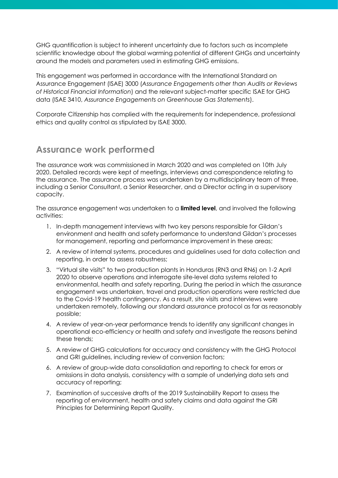GHG quantification is subject to inherent uncertainty due to factors such as incomplete scientific knowledge about the global warming potential of different GHGs and uncertainty around the models and parameters used in estimating GHG emissions.

This engagement was performed in accordance with the International Standard on Assurance Engagement (ISAE) 3000 (*Assurance Engagements other than Audits or Reviews of Historical Financial Information*) and the relevant subject-matter specific ISAE for GHG data (ISAE 3410, *Assurance Engagements on Greenhouse Gas Statements*).

Corporate Citizenship has complied with the requirements for independence, professional ethics and quality control as stipulated by ISAE 3000.

#### **Assurance work performed**

The assurance work was commissioned in March 2020 and was completed on 10th July 2020. Detailed records were kept of meetings, interviews and correspondence relating to the assurance. The assurance process was undertaken by a multidisciplinary team of three, including a Senior Consultant, a Senior Researcher, and a Director acting in a supervisory capacity.

The assurance engagement was undertaken to a **limited level**, and involved the following activities:

- 1. In-depth management interviews with two key persons responsible for Gildan's environment and health and safety performance to understand Gildan's processes for management, reporting and performance improvement in these areas;
- 2. A review of internal systems, procedures and guidelines used for data collection and reporting, in order to assess robustness;
- 3. "Virtual site visits" to two production plants in Honduras (RN3 and RN6) on 1-2 April 2020 to observe operations and interrogate site-level data systems related to environmental, health and safety reporting. During the period in which the assurance engagement was undertaken, travel and production operations were restricted due to the Covid-19 health contingency. As a result, site visits and interviews were undertaken remotely, following our standard assurance protocol as far as reasonably possible;
- 4. A review of year-on-year performance trends to identify any significant changes in operational eco-efficiency or health and safety and investigate the reasons behind these trends;
- 5. A review of GHG calculations for accuracy and consistency with the GHG Protocol and GRI guidelines, including review of conversion factors;
- 6. A review of group-wide data consolidation and reporting to check for errors or omissions in data analysis, consistency with a sample of underlying data sets and accuracy of reporting;
- 7. Examination of successive drafts of the 2019 Sustainability Report to assess the reporting of environment, health and safety claims and data against the GRI Principles for Determining Report Quality.